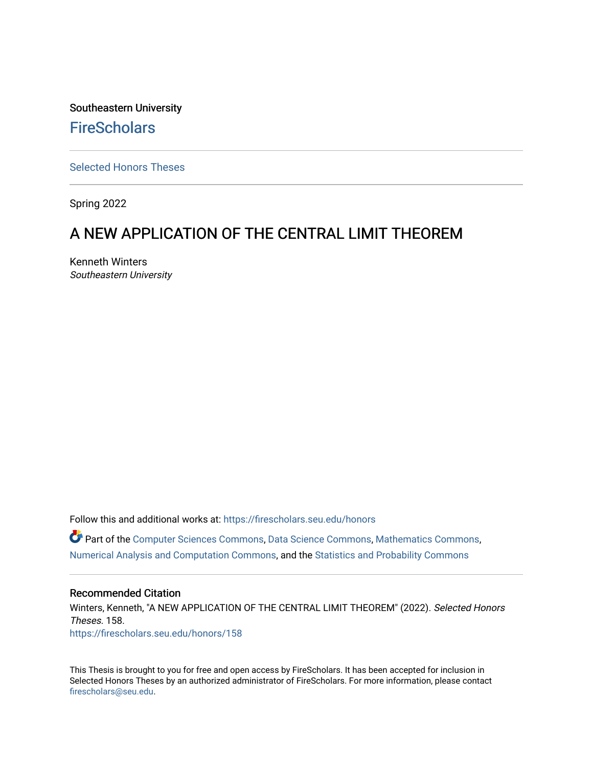Southeastern University **FireScholars** 

[Selected Honors Theses](https://firescholars.seu.edu/honors)

Spring 2022

# A NEW APPLICATION OF THE CENTRAL LIMIT THEOREM

Kenneth Winters Southeastern University

Follow this and additional works at: [https://firescholars.seu.edu/honors](https://firescholars.seu.edu/honors?utm_source=firescholars.seu.edu%2Fhonors%2F158&utm_medium=PDF&utm_campaign=PDFCoverPages)

Part of the [Computer Sciences Commons](https://network.bepress.com/hgg/discipline/142?utm_source=firescholars.seu.edu%2Fhonors%2F158&utm_medium=PDF&utm_campaign=PDFCoverPages), [Data Science Commons,](https://network.bepress.com/hgg/discipline/1429?utm_source=firescholars.seu.edu%2Fhonors%2F158&utm_medium=PDF&utm_campaign=PDFCoverPages) [Mathematics Commons](https://network.bepress.com/hgg/discipline/174?utm_source=firescholars.seu.edu%2Fhonors%2F158&utm_medium=PDF&utm_campaign=PDFCoverPages), [Numerical Analysis and Computation Commons](https://network.bepress.com/hgg/discipline/119?utm_source=firescholars.seu.edu%2Fhonors%2F158&utm_medium=PDF&utm_campaign=PDFCoverPages), and the [Statistics and Probability Commons](https://network.bepress.com/hgg/discipline/208?utm_source=firescholars.seu.edu%2Fhonors%2F158&utm_medium=PDF&utm_campaign=PDFCoverPages)

#### Recommended Citation

Winters, Kenneth, "A NEW APPLICATION OF THE CENTRAL LIMIT THEOREM" (2022). Selected Honors Theses. 158. [https://firescholars.seu.edu/honors/158](https://firescholars.seu.edu/honors/158?utm_source=firescholars.seu.edu%2Fhonors%2F158&utm_medium=PDF&utm_campaign=PDFCoverPages)

This Thesis is brought to you for free and open access by FireScholars. It has been accepted for inclusion in Selected Honors Theses by an authorized administrator of FireScholars. For more information, please contact [firescholars@seu.edu.](mailto:firescholars@seu.edu)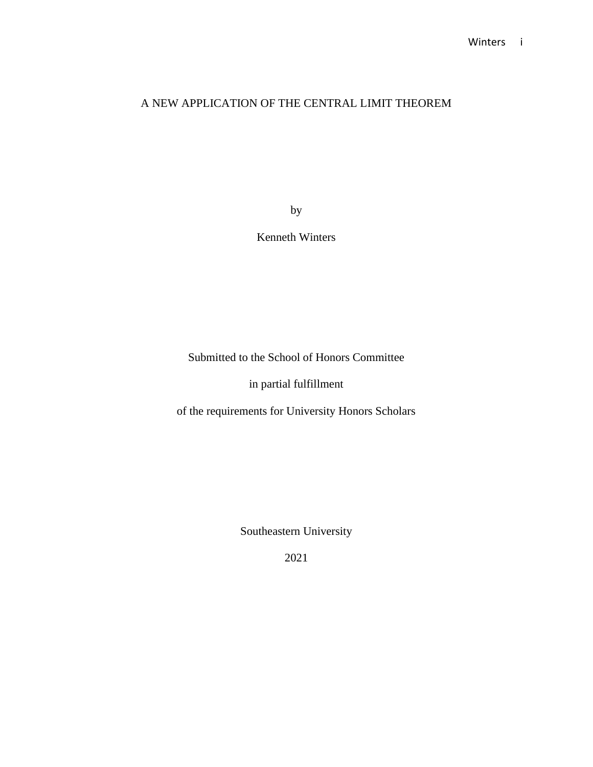# A NEW APPLICATION OF THE CENTRAL LIMIT THEOREM

by

Kenneth Winters

Submitted to the School of Honors Committee

in partial fulfillment

of the requirements for University Honors Scholars

Southeastern University

2021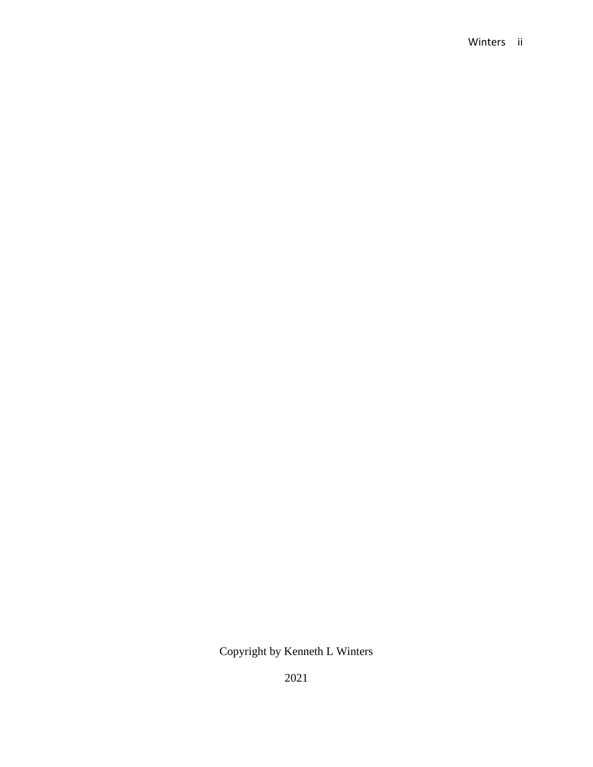### Winters ii

Copyright by Kenneth L Winters

2021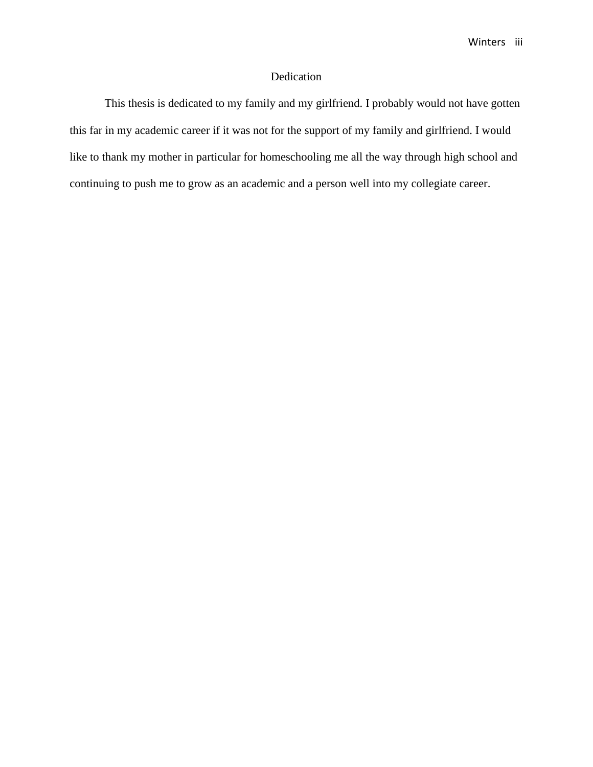### Dedication

This thesis is dedicated to my family and my girlfriend. I probably would not have gotten this far in my academic career if it was not for the support of my family and girlfriend. I would like to thank my mother in particular for homeschooling me all the way through high school and continuing to push me to grow as an academic and a person well into my collegiate career.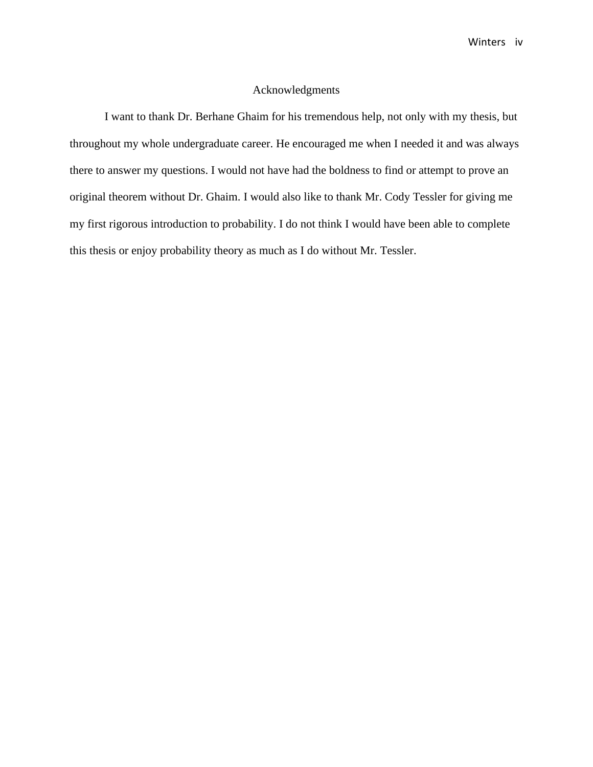Winters iv

#### Acknowledgments

I want to thank Dr. Berhane Ghaim for his tremendous help, not only with my thesis, but throughout my whole undergraduate career. He encouraged me when I needed it and was always there to answer my questions. I would not have had the boldness to find or attempt to prove an original theorem without Dr. Ghaim. I would also like to thank Mr. Cody Tessler for giving me my first rigorous introduction to probability. I do not think I would have been able to complete this thesis or enjoy probability theory as much as I do without Mr. Tessler.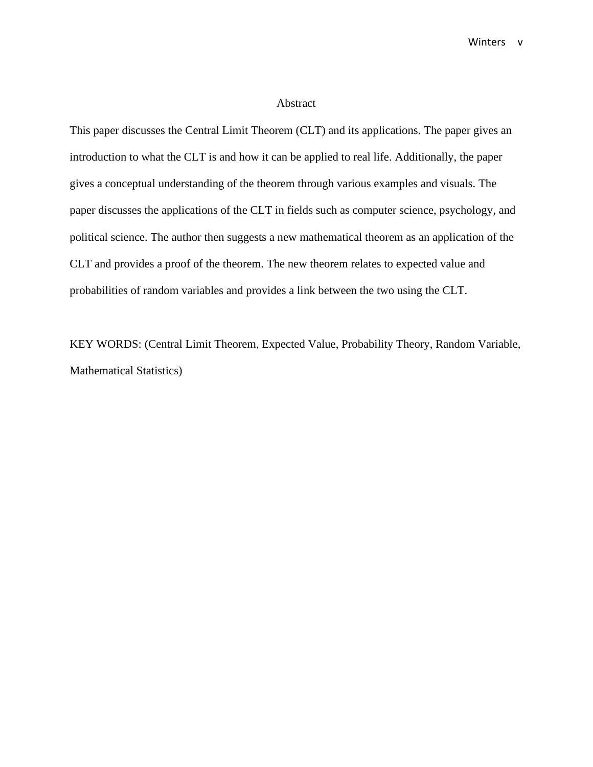#### Abstract

This paper discusses the Central Limit Theorem (CLT) and its applications. The paper gives an introduction to what the CLT is and how it can be applied to real life. Additionally, the paper gives a conceptual understanding of the theorem through various examples and visuals. The paper discusses the applications of the CLT in fields such as computer science, psychology, and political science. The author then suggests a new mathematical theorem as an application of the CLT and provides a proof of the theorem. The new theorem relates to expected value and probabilities of random variables and provides a link between the two using the CLT.

KEY WORDS: (Central Limit Theorem, Expected Value, Probability Theory, Random Variable, Mathematical Statistics)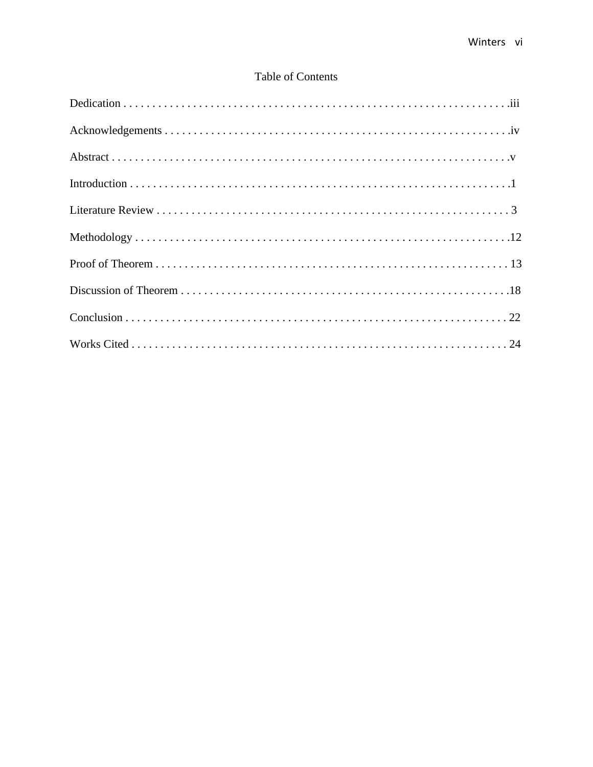# Table of Contents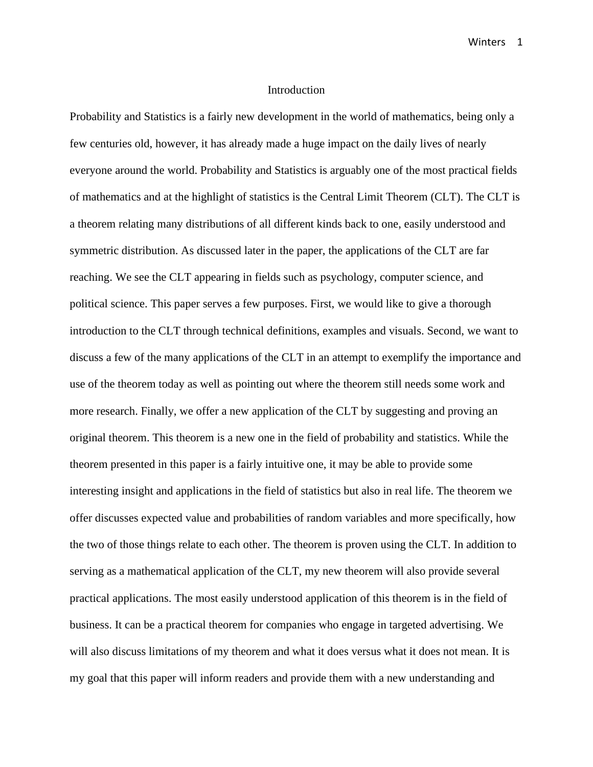#### Introduction

Probability and Statistics is a fairly new development in the world of mathematics, being only a few centuries old, however, it has already made a huge impact on the daily lives of nearly everyone around the world. Probability and Statistics is arguably one of the most practical fields of mathematics and at the highlight of statistics is the Central Limit Theorem (CLT). The CLT is a theorem relating many distributions of all different kinds back to one, easily understood and symmetric distribution. As discussed later in the paper, the applications of the CLT are far reaching. We see the CLT appearing in fields such as psychology, computer science, and political science. This paper serves a few purposes. First, we would like to give a thorough introduction to the CLT through technical definitions, examples and visuals. Second, we want to discuss a few of the many applications of the CLT in an attempt to exemplify the importance and use of the theorem today as well as pointing out where the theorem still needs some work and more research. Finally, we offer a new application of the CLT by suggesting and proving an original theorem. This theorem is a new one in the field of probability and statistics. While the theorem presented in this paper is a fairly intuitive one, it may be able to provide some interesting insight and applications in the field of statistics but also in real life. The theorem we offer discusses expected value and probabilities of random variables and more specifically, how the two of those things relate to each other. The theorem is proven using the CLT. In addition to serving as a mathematical application of the CLT, my new theorem will also provide several practical applications. The most easily understood application of this theorem is in the field of business. It can be a practical theorem for companies who engage in targeted advertising. We will also discuss limitations of my theorem and what it does versus what it does not mean. It is my goal that this paper will inform readers and provide them with a new understanding and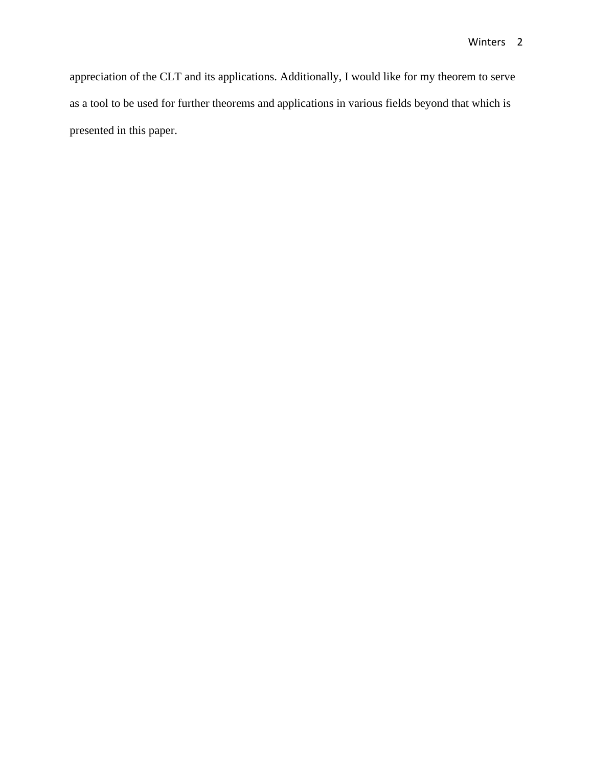appreciation of the CLT and its applications. Additionally, I would like for my theorem to serve as a tool to be used for further theorems and applications in various fields beyond that which is presented in this paper.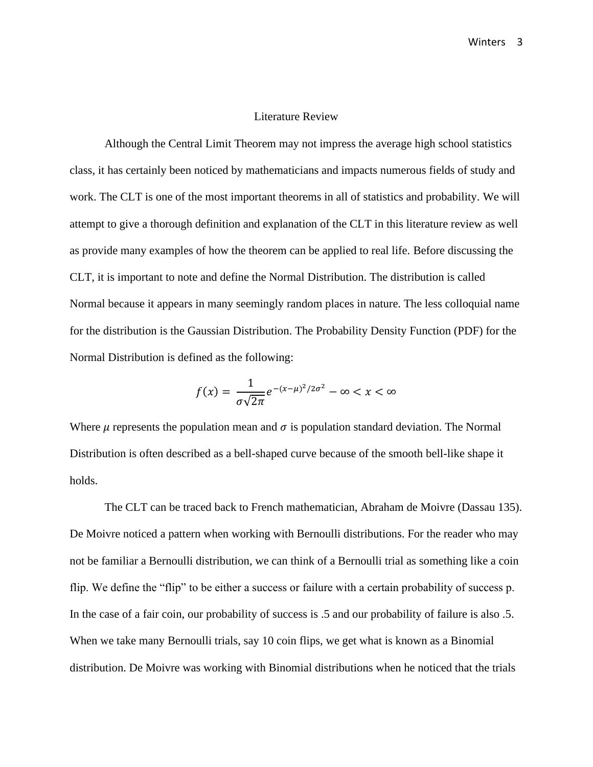#### Literature Review

Although the Central Limit Theorem may not impress the average high school statistics class, it has certainly been noticed by mathematicians and impacts numerous fields of study and work. The CLT is one of the most important theorems in all of statistics and probability. We will attempt to give a thorough definition and explanation of the CLT in this literature review as well as provide many examples of how the theorem can be applied to real life. Before discussing the CLT, it is important to note and define the Normal Distribution. The distribution is called Normal because it appears in many seemingly random places in nature. The less colloquial name for the distribution is the Gaussian Distribution. The Probability Density Function (PDF) for the Normal Distribution is defined as the following:

$$
f(x) = \frac{1}{\sigma\sqrt{2\pi}}e^{-(x-\mu)^2/2\sigma^2} - \infty < x < \infty
$$

Where  $\mu$  represents the population mean and  $\sigma$  is population standard deviation. The Normal Distribution is often described as a bell-shaped curve because of the smooth bell-like shape it holds.

The CLT can be traced back to French mathematician, Abraham de Moivre (Dassau 135). De Moivre noticed a pattern when working with Bernoulli distributions. For the reader who may not be familiar a Bernoulli distribution, we can think of a Bernoulli trial as something like a coin flip. We define the "flip" to be either a success or failure with a certain probability of success p. In the case of a fair coin, our probability of success is .5 and our probability of failure is also .5. When we take many Bernoulli trials, say 10 coin flips, we get what is known as a Binomial distribution. De Moivre was working with Binomial distributions when he noticed that the trials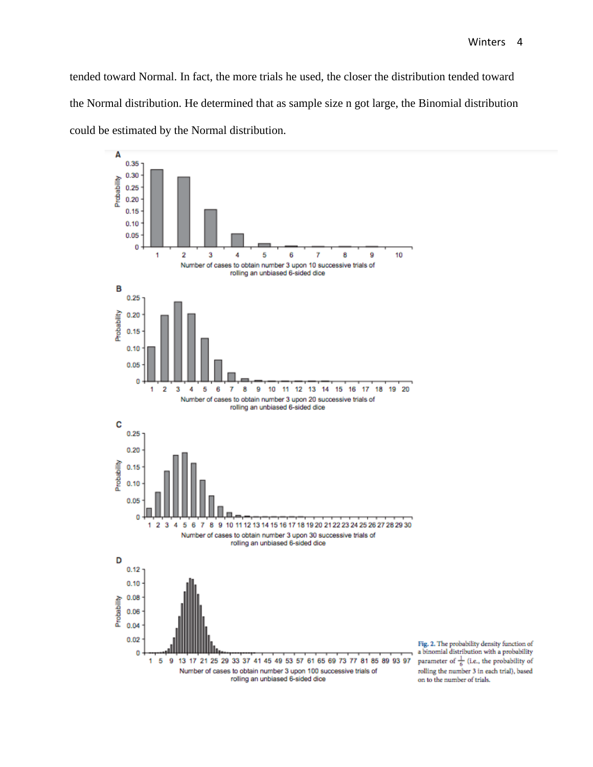tended toward Normal. In fact, the more trials he used, the closer the distribution tended toward the Normal distribution. He determined that as sample size n got large, the Binomial distribution could be estimated by the Normal distribution.



Fig. 2. The probability density function of a binomial distribution with a probability parameter of  $\frac{1}{6}$  (i.e., the probability of rolling the number 3 in each trial), based on to the number of trials.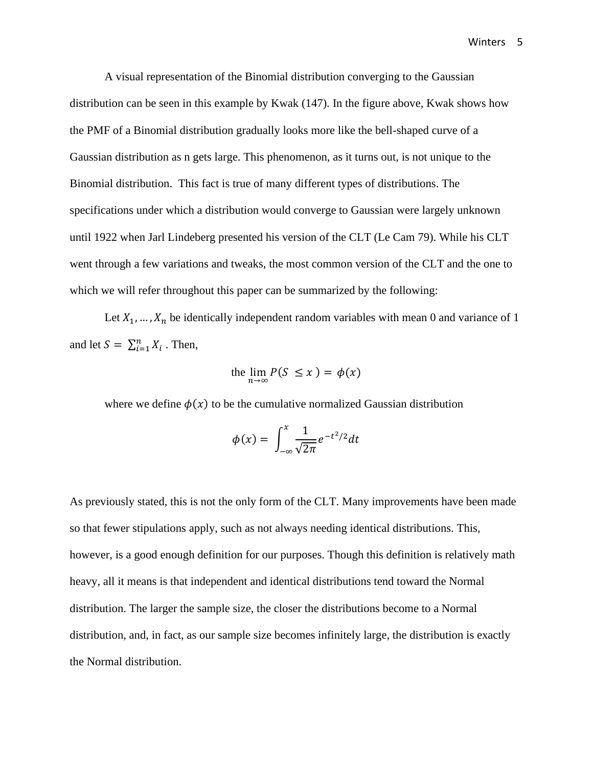A visual representation of the Binomial distribution converging to the Gaussian distribution can be seen in this example by Kwak (147). In the figure above, Kwak shows how the PMF of a Binomial distribution gradually looks more like the bell-shaped curve of a Gaussian distribution as n gets large. This phenomenon, as it turns out, is not unique to the Binomial distribution. This fact is true of many different types of distributions. The specifications under which a distribution would converge to Gaussian were largely unknown until 1922 when Jarl Lindeberg presented his version of the CLT (Le Cam 79). While his CLT went through a few variations and tweaks, the most common version of the CLT and the one to which we will refer throughout this paper can be summarized by the following:

Let  $X_1, \ldots, X_n$  be identically independent random variables with mean 0 and variance of 1 and let  $S = \sum_{i=1}^{n} X_i$ . Then,

the  $\lim_{n \to \infty} P(S \le x) = \phi(x)$ 

where we define  $\phi(x)$  to be the cumulative normalized Gaussian distribution

$$
\phi(x) = \int_{-\infty}^{x} \frac{1}{\sqrt{2\pi}} e^{-t^2/2} dt
$$

As previously stated, this is not the only form of the CLT. Many improvements have been made so that fewer stipulations apply, such as not always needing identical distributions. This, however, is a good enough definition for our purposes. Though this definition is relatively math heavy, all it means is that independent and identical distributions tend toward the Normal distribution. The larger the sample size, the closer the distributions become to a Normal distribution, and, in fact, as our sample size becomes infinitely large, the distribution is exactly the Normal distribution.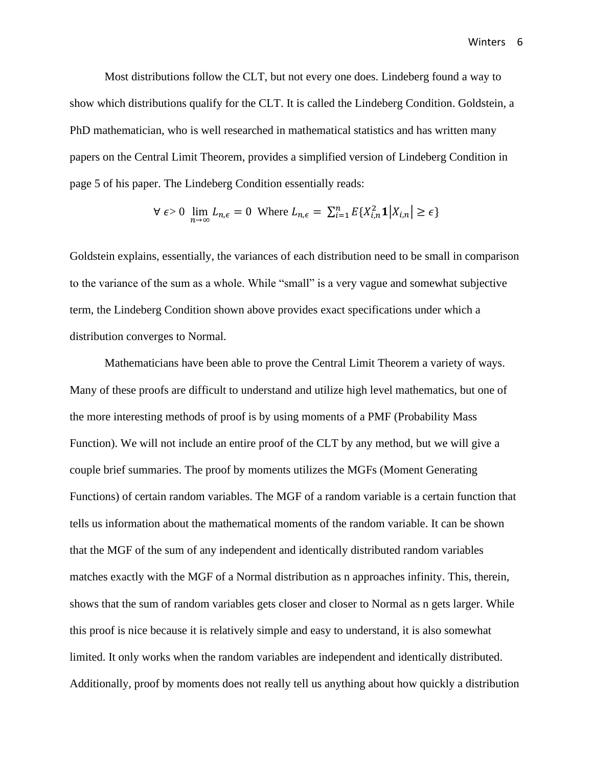Most distributions follow the CLT, but not every one does. Lindeberg found a way to show which distributions qualify for the CLT. It is called the Lindeberg Condition. Goldstein, a PhD mathematician, who is well researched in mathematical statistics and has written many papers on the Central Limit Theorem, provides a simplified version of Lindeberg Condition in page 5 of his paper. The Lindeberg Condition essentially reads:

$$
\forall \epsilon > 0 \lim_{n \to \infty} L_{n,\epsilon} = 0 \text{ Where } L_{n,\epsilon} = \sum_{i=1}^{n} E\{X_{i,n}^2 \mathbf{1} | X_{i,n} \ge \epsilon\}
$$

Goldstein explains, essentially, the variances of each distribution need to be small in comparison to the variance of the sum as a whole. While "small" is a very vague and somewhat subjective term, the Lindeberg Condition shown above provides exact specifications under which a distribution converges to Normal.

Mathematicians have been able to prove the Central Limit Theorem a variety of ways. Many of these proofs are difficult to understand and utilize high level mathematics, but one of the more interesting methods of proof is by using moments of a PMF (Probability Mass Function). We will not include an entire proof of the CLT by any method, but we will give a couple brief summaries. The proof by moments utilizes the MGFs (Moment Generating Functions) of certain random variables. The MGF of a random variable is a certain function that tells us information about the mathematical moments of the random variable. It can be shown that the MGF of the sum of any independent and identically distributed random variables matches exactly with the MGF of a Normal distribution as n approaches infinity. This, therein, shows that the sum of random variables gets closer and closer to Normal as n gets larger. While this proof is nice because it is relatively simple and easy to understand, it is also somewhat limited. It only works when the random variables are independent and identically distributed. Additionally, proof by moments does not really tell us anything about how quickly a distribution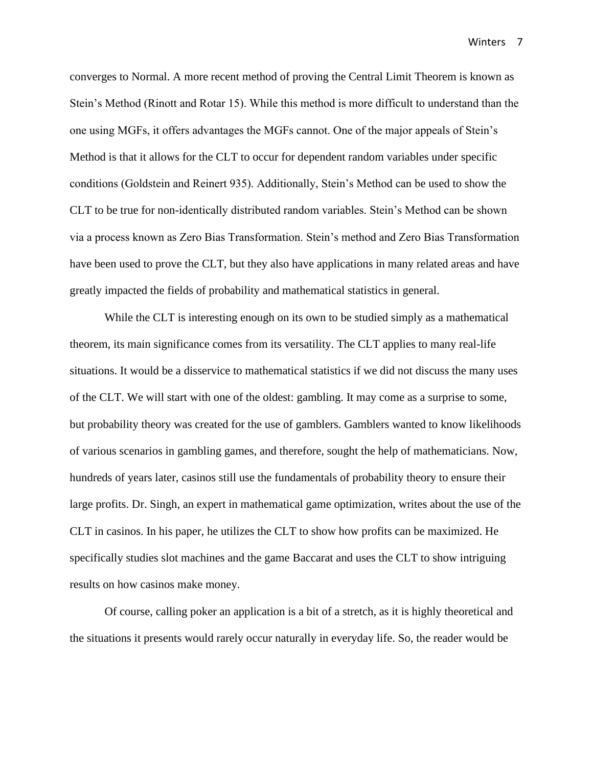converges to Normal. A more recent method of proving the Central Limit Theorem is known as Stein's Method (Rinott and Rotar 15). While this method is more difficult to understand than the one using MGFs, it offers advantages the MGFs cannot. One of the major appeals of Stein's Method is that it allows for the CLT to occur for dependent random variables under specific conditions (Goldstein and Reinert 935). Additionally, Stein's Method can be used to show the CLT to be true for non-identically distributed random variables. Stein's Method can be shown via a process known as Zero Bias Transformation. Stein's method and Zero Bias Transformation have been used to prove the CLT, but they also have applications in many related areas and have greatly impacted the fields of probability and mathematical statistics in general.

While the CLT is interesting enough on its own to be studied simply as a mathematical theorem, its main significance comes from its versatility. The CLT applies to many real-life situations. It would be a disservice to mathematical statistics if we did not discuss the many uses of the CLT. We will start with one of the oldest: gambling. It may come as a surprise to some, but probability theory was created for the use of gamblers. Gamblers wanted to know likelihoods of various scenarios in gambling games, and therefore, sought the help of mathematicians. Now, hundreds of years later, casinos still use the fundamentals of probability theory to ensure their large profits. Dr. Singh, an expert in mathematical game optimization, writes about the use of the CLT in casinos. In his paper, he utilizes the CLT to show how profits can be maximized. He specifically studies slot machines and the game Baccarat and uses the CLT to show intriguing results on how casinos make money.

Of course, calling poker an application is a bit of a stretch, as it is highly theoretical and the situations it presents would rarely occur naturally in everyday life. So, the reader would be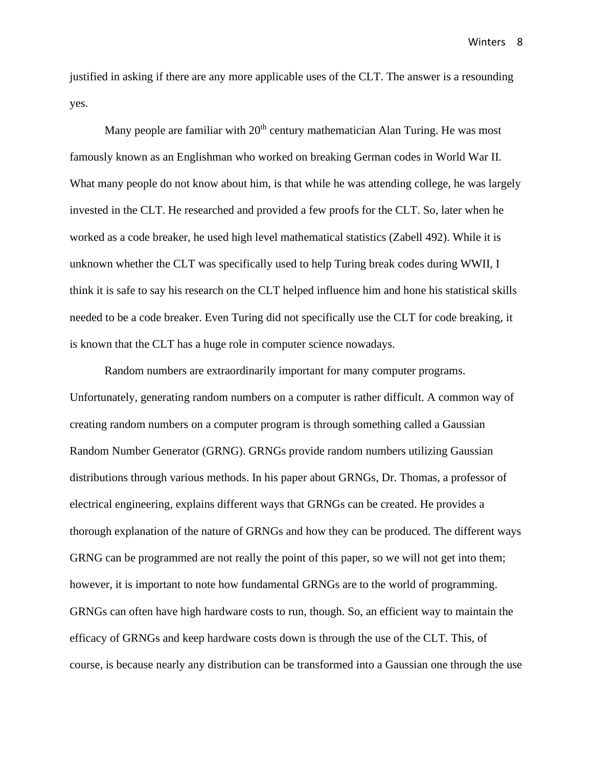justified in asking if there are any more applicable uses of the CLT. The answer is a resounding yes.

Many people are familiar with  $20<sup>th</sup>$  century mathematician Alan Turing. He was most famously known as an Englishman who worked on breaking German codes in World War II. What many people do not know about him, is that while he was attending college, he was largely invested in the CLT. He researched and provided a few proofs for the CLT. So, later when he worked as a code breaker, he used high level mathematical statistics (Zabell 492). While it is unknown whether the CLT was specifically used to help Turing break codes during WWII, I think it is safe to say his research on the CLT helped influence him and hone his statistical skills needed to be a code breaker. Even Turing did not specifically use the CLT for code breaking, it is known that the CLT has a huge role in computer science nowadays.

Random numbers are extraordinarily important for many computer programs. Unfortunately, generating random numbers on a computer is rather difficult. A common way of creating random numbers on a computer program is through something called a Gaussian Random Number Generator (GRNG). GRNGs provide random numbers utilizing Gaussian distributions through various methods. In his paper about GRNGs, Dr. Thomas, a professor of electrical engineering, explains different ways that GRNGs can be created. He provides a thorough explanation of the nature of GRNGs and how they can be produced. The different ways GRNG can be programmed are not really the point of this paper, so we will not get into them; however, it is important to note how fundamental GRNGs are to the world of programming. GRNGs can often have high hardware costs to run, though. So, an efficient way to maintain the efficacy of GRNGs and keep hardware costs down is through the use of the CLT. This, of course, is because nearly any distribution can be transformed into a Gaussian one through the use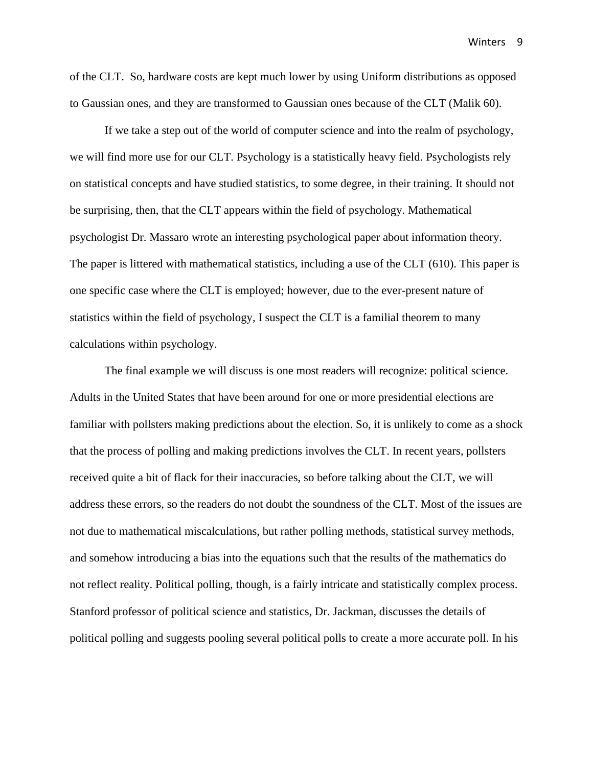of the CLT. So, hardware costs are kept much lower by using Uniform distributions as opposed to Gaussian ones, and they are transformed to Gaussian ones because of the CLT (Malik 60).

If we take a step out of the world of computer science and into the realm of psychology, we will find more use for our CLT. Psychology is a statistically heavy field. Psychologists rely on statistical concepts and have studied statistics, to some degree, in their training. It should not be surprising, then, that the CLT appears within the field of psychology. Mathematical psychologist Dr. Massaro wrote an interesting psychological paper about information theory. The paper is littered with mathematical statistics, including a use of the CLT (610). This paper is one specific case where the CLT is employed; however, due to the ever-present nature of statistics within the field of psychology, I suspect the CLT is a familial theorem to many calculations within psychology.

The final example we will discuss is one most readers will recognize: political science. Adults in the United States that have been around for one or more presidential elections are familiar with pollsters making predictions about the election. So, it is unlikely to come as a shock that the process of polling and making predictions involves the CLT. In recent years, pollsters received quite a bit of flack for their inaccuracies, so before talking about the CLT, we will address these errors, so the readers do not doubt the soundness of the CLT. Most of the issues are not due to mathematical miscalculations, but rather polling methods, statistical survey methods, and somehow introducing a bias into the equations such that the results of the mathematics do not reflect reality. Political polling, though, is a fairly intricate and statistically complex process. Stanford professor of political science and statistics, Dr. Jackman, discusses the details of political polling and suggests pooling several political polls to create a more accurate poll. In his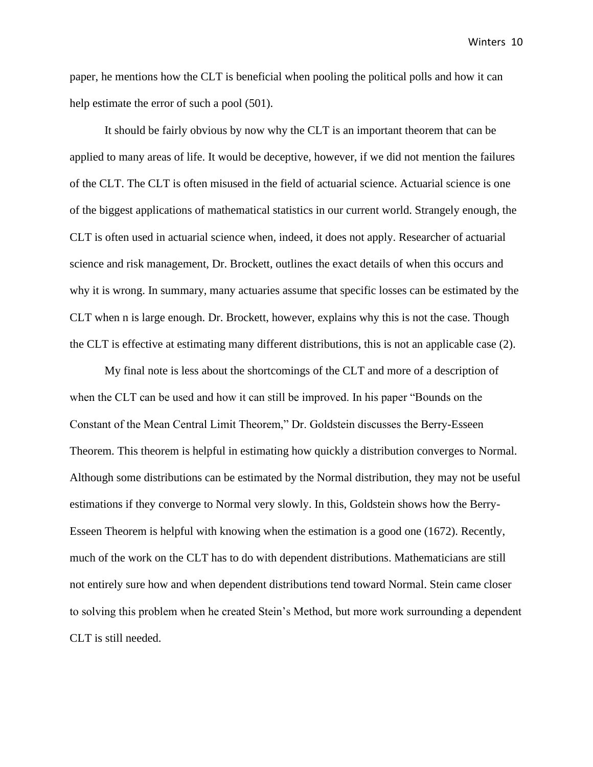paper, he mentions how the CLT is beneficial when pooling the political polls and how it can help estimate the error of such a pool  $(501)$ .

It should be fairly obvious by now why the CLT is an important theorem that can be applied to many areas of life. It would be deceptive, however, if we did not mention the failures of the CLT. The CLT is often misused in the field of actuarial science. Actuarial science is one of the biggest applications of mathematical statistics in our current world. Strangely enough, the CLT is often used in actuarial science when, indeed, it does not apply. Researcher of actuarial science and risk management, Dr. Brockett, outlines the exact details of when this occurs and why it is wrong. In summary, many actuaries assume that specific losses can be estimated by the CLT when n is large enough. Dr. Brockett, however, explains why this is not the case. Though the CLT is effective at estimating many different distributions, this is not an applicable case (2).

My final note is less about the shortcomings of the CLT and more of a description of when the CLT can be used and how it can still be improved. In his paper "Bounds on the Constant of the Mean Central Limit Theorem," Dr. Goldstein discusses the Berry-Esseen Theorem. This theorem is helpful in estimating how quickly a distribution converges to Normal. Although some distributions can be estimated by the Normal distribution, they may not be useful estimations if they converge to Normal very slowly. In this, Goldstein shows how the Berry-Esseen Theorem is helpful with knowing when the estimation is a good one (1672). Recently, much of the work on the CLT has to do with dependent distributions. Mathematicians are still not entirely sure how and when dependent distributions tend toward Normal. Stein came closer to solving this problem when he created Stein's Method, but more work surrounding a dependent CLT is still needed.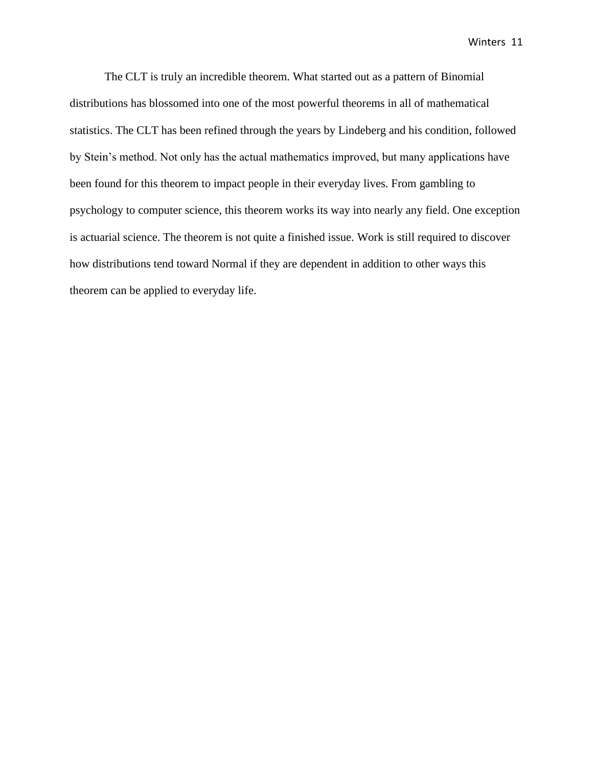The CLT is truly an incredible theorem. What started out as a pattern of Binomial distributions has blossomed into one of the most powerful theorems in all of mathematical statistics. The CLT has been refined through the years by Lindeberg and his condition, followed by Stein's method. Not only has the actual mathematics improved, but many applications have been found for this theorem to impact people in their everyday lives. From gambling to psychology to computer science, this theorem works its way into nearly any field. One exception is actuarial science. The theorem is not quite a finished issue. Work is still required to discover how distributions tend toward Normal if they are dependent in addition to other ways this theorem can be applied to everyday life.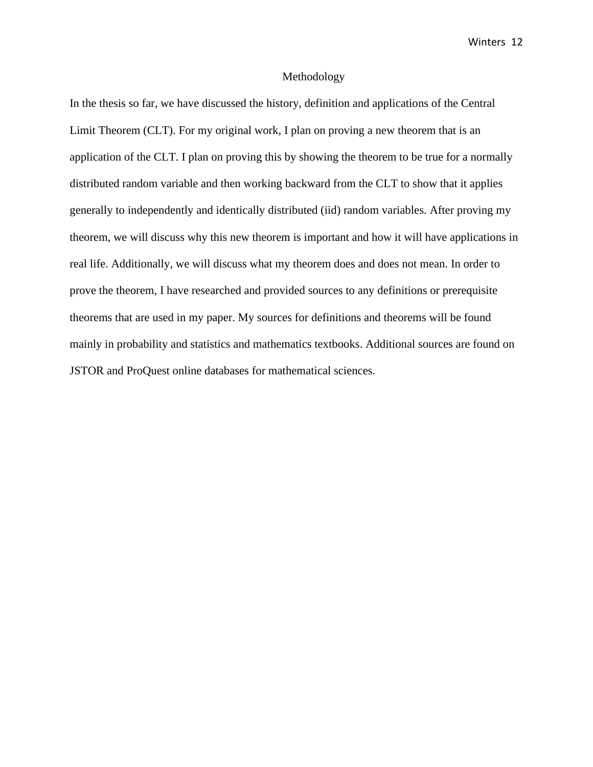#### Methodology

In the thesis so far, we have discussed the history, definition and applications of the Central Limit Theorem (CLT). For my original work, I plan on proving a new theorem that is an application of the CLT. I plan on proving this by showing the theorem to be true for a normally distributed random variable and then working backward from the CLT to show that it applies generally to independently and identically distributed (iid) random variables. After proving my theorem, we will discuss why this new theorem is important and how it will have applications in real life. Additionally, we will discuss what my theorem does and does not mean. In order to prove the theorem, I have researched and provided sources to any definitions or prerequisite theorems that are used in my paper. My sources for definitions and theorems will be found mainly in probability and statistics and mathematics textbooks. Additional sources are found on JSTOR and ProQuest online databases for mathematical sciences.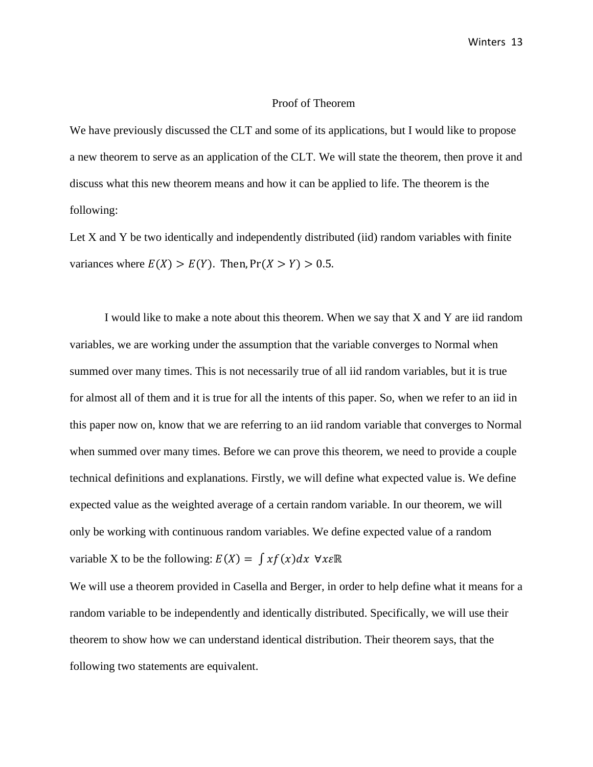### Proof of Theorem

We have previously discussed the CLT and some of its applications, but I would like to propose a new theorem to serve as an application of the CLT. We will state the theorem, then prove it and discuss what this new theorem means and how it can be applied to life. The theorem is the following:

Let X and Y be two identically and independently distributed (iid) random variables with finite variances where  $E(X) > E(Y)$ . Then,  $Pr(X > Y) > 0.5$ .

I would like to make a note about this theorem. When we say that X and Y are iid random variables, we are working under the assumption that the variable converges to Normal when summed over many times. This is not necessarily true of all iid random variables, but it is true for almost all of them and it is true for all the intents of this paper. So, when we refer to an iid in this paper now on, know that we are referring to an iid random variable that converges to Normal when summed over many times. Before we can prove this theorem, we need to provide a couple technical definitions and explanations. Firstly, we will define what expected value is. We define expected value as the weighted average of a certain random variable. In our theorem, we will only be working with continuous random variables. We define expected value of a random variable X to be the following:  $E(X) = \int x f(x) dx \ \forall x \in \mathbb{R}$ 

We will use a theorem provided in Casella and Berger, in order to help define what it means for a random variable to be independently and identically distributed. Specifically, we will use their theorem to show how we can understand identical distribution. Their theorem says, that the following two statements are equivalent.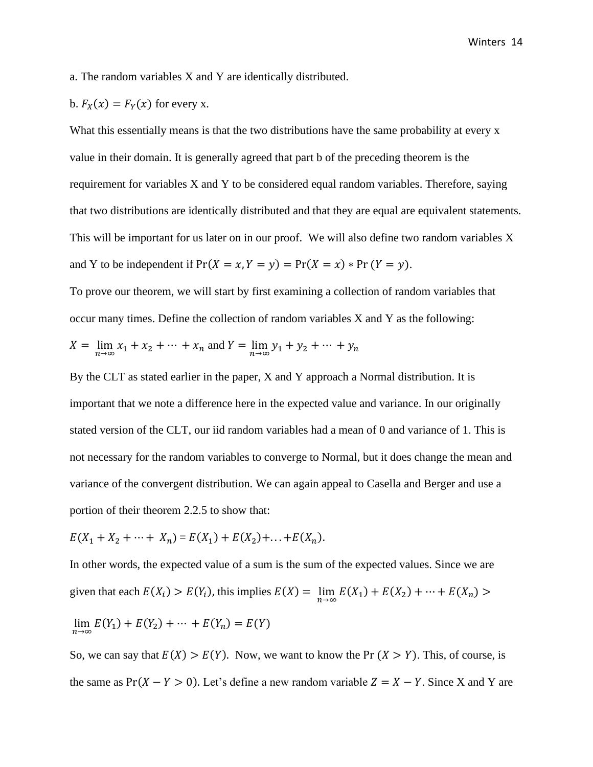a. The random variables X and Y are identically distributed.

b. 
$$
F_X(x) = F_Y(x)
$$
 for every x.

What this essentially means is that the two distributions have the same probability at every x value in their domain. It is generally agreed that part b of the preceding theorem is the requirement for variables X and Y to be considered equal random variables. Therefore, saying that two distributions are identically distributed and that they are equal are equivalent statements. This will be important for us later on in our proof. We will also define two random variables X and Y to be independent if  $Pr(X = x, Y = y) = Pr(X = x) * Pr(Y = y)$ .

To prove our theorem, we will start by first examining a collection of random variables that occur many times. Define the collection of random variables X and Y as the following:

$$
X = \lim_{n \to \infty} x_1 + x_2 + \dots + x_n \text{ and } Y = \lim_{n \to \infty} y_1 + y_2 + \dots + y_n
$$

By the CLT as stated earlier in the paper, X and Y approach a Normal distribution. It is important that we note a difference here in the expected value and variance. In our originally stated version of the CLT, our iid random variables had a mean of 0 and variance of 1. This is not necessary for the random variables to converge to Normal, but it does change the mean and variance of the convergent distribution. We can again appeal to Casella and Berger and use a portion of their theorem 2.2.5 to show that:

$$
E(X_1 + X_2 + \dots + X_n) = E(X_1) + E(X_2) + \dots + E(X_n).
$$

In other words, the expected value of a sum is the sum of the expected values. Since we are given that each  $E(X_i) > E(Y_i)$ , this implies  $E(X) = \lim_{n \to \infty} E(X_1) + E(X_2) + \dots + E(X_n)$  $\lim_{n \to \infty} E(Y_1) + E(Y_2) + \dots + E(Y_n) = E(Y)$ 

So, we can say that  $E(X) > E(Y)$ . Now, we want to know the Pr  $(X > Y)$ . This, of course, is the same as  $Pr(X - Y > 0)$ . Let's define a new random variable  $Z = X - Y$ . Since X and Y are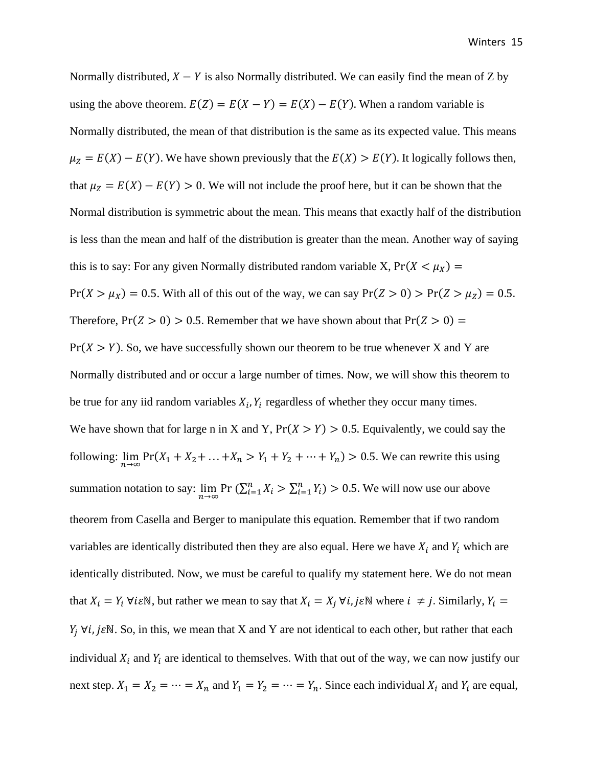Normally distributed,  $X - Y$  is also Normally distributed. We can easily find the mean of Z by using the above theorem.  $E(Z) = E(X - Y) = E(X) - E(Y)$ . When a random variable is Normally distributed, the mean of that distribution is the same as its expected value. This means  $\mu_Z = E(X) - E(Y)$ . We have shown previously that the  $E(X) > E(Y)$ . It logically follows then, that  $\mu_Z = E(X) - E(Y) > 0$ . We will not include the proof here, but it can be shown that the Normal distribution is symmetric about the mean. This means that exactly half of the distribution is less than the mean and half of the distribution is greater than the mean. Another way of saying this is to say: For any given Normally distributed random variable X,  $Pr(X < \mu_X)$  =  $Pr(X > \mu_X) = 0.5$ . With all of this out of the way, we can say  $Pr(Z > 0) > Pr(Z > \mu_Z) = 0.5$ . Therefore,  $Pr(Z > 0) > 0.5$ . Remember that we have shown about that  $Pr(Z > 0) =$  $Pr(X > Y)$ . So, we have successfully shown our theorem to be true whenever X and Y are Normally distributed and or occur a large number of times. Now, we will show this theorem to be true for any iid random variables  $X_i$ ,  $Y_i$  regardless of whether they occur many times. We have shown that for large n in X and Y,  $Pr(X > Y) > 0.5$ . Equivalently, we could say the following:  $\lim_{n\to\infty} \Pr(X_1 + X_2 + \ldots + X_n > Y_1 + Y_2 + \cdots + Y_n) > 0.5$ . We can rewrite this using summation notation to say:  $\lim_{n\to\infty}$  Pr  $(\sum_{i=1}^n X_i > \sum_{i=1}^n Y_i) > 0.5$ . We will now use our above theorem from Casella and Berger to manipulate this equation. Remember that if two random variables are identically distributed then they are also equal. Here we have  $X_i$  and  $Y_i$  which are identically distributed. Now, we must be careful to qualify my statement here. We do not mean that  $X_i = Y_i \forall i \in \mathbb{N}$ , but rather we mean to say that  $X_i = X_i \forall i, j \in \mathbb{N}$  where  $i \neq j$ . Similarly,  $Y_i =$  $Y_i \forall i, j \in \mathbb{N}$ . So, in this, we mean that X and Y are not identical to each other, but rather that each individual  $X_i$  and  $Y_i$  are identical to themselves. With that out of the way, we can now justify our next step.  $X_1 = X_2 = \cdots = X_n$  and  $Y_1 = Y_2 = \cdots = Y_n$ . Since each individual  $X_i$  and  $Y_i$  are equal,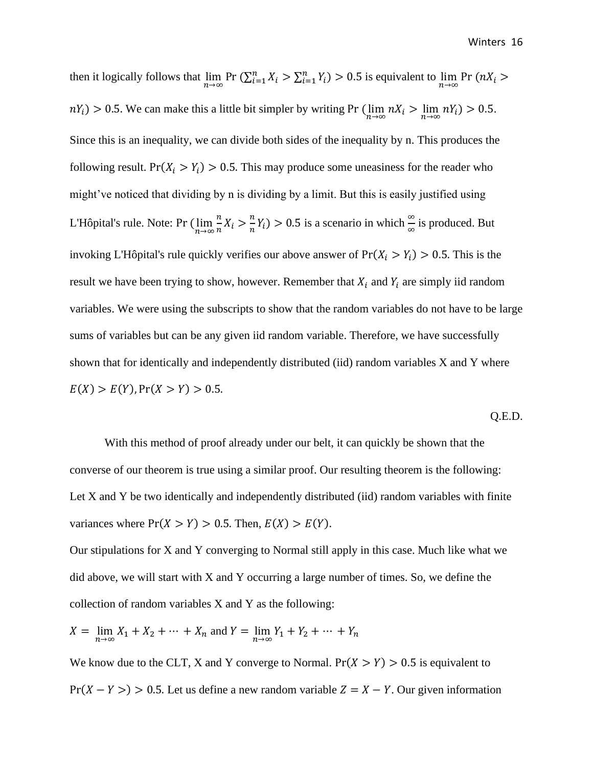then it logically follows that  $\lim_{n\to\infty}$  Pr  $(\sum_{i=1}^n X_i > \sum_{i=1}^n Y_i) > 0.5$  is equivalent to  $\lim_{n\to\infty}$  Pr  $(nX_i >$  $nY_i$ ) > 0.5. We can make this a little bit simpler by writing Pr  $(\lim_{n\to\infty} nX_i > \lim_{n\to\infty} nY_i)$  > 0.5. Since this is an inequality, we can divide both sides of the inequality by n. This produces the following result. Pr( $X_i > Y_i$ ) > 0.5. This may produce some uneasiness for the reader who might've noticed that dividing by n is dividing by a limit. But this is easily justified using L'Hôpital's rule. Note: Pr  $(\lim_{n\to\infty}\frac{n}{n})$  $\frac{n}{n}X_i > \frac{n}{n}$  $\frac{n}{m}Y_i$ ) > 0.5 is a scenario in which  $\frac{\infty}{\infty}$  is produced. But invoking L'Hôpital's rule quickly verifies our above answer of  $Pr(X_i > Y_i) > 0.5$ . This is the result we have been trying to show, however. Remember that  $X_i$  and  $Y_i$  are simply iid random variables. We were using the subscripts to show that the random variables do not have to be large sums of variables but can be any given iid random variable. Therefore, we have successfully shown that for identically and independently distributed (iid) random variables X and Y where  $E(X) > E(Y)$ ,  $Pr(X > Y) > 0.5$ .

Q.E.D.

With this method of proof already under our belt, it can quickly be shown that the converse of our theorem is true using a similar proof. Our resulting theorem is the following: Let X and Y be two identically and independently distributed (iid) random variables with finite variances where  $Pr(X > Y) > 0.5$ . Then,  $E(X) > E(Y)$ .

Our stipulations for X and Y converging to Normal still apply in this case. Much like what we did above, we will start with X and Y occurring a large number of times. So, we define the collection of random variables X and Y as the following:

$$
X = \lim_{n \to \infty} X_1 + X_2 + \dots + X_n \text{ and } Y = \lim_{n \to \infty} Y_1 + Y_2 + \dots + Y_n
$$

We know due to the CLT, X and Y converge to Normal.  $Pr(X > Y) > 0.5$  is equivalent to  $Pr(X - Y >) > 0.5$ . Let us define a new random variable  $Z = X - Y$ . Our given information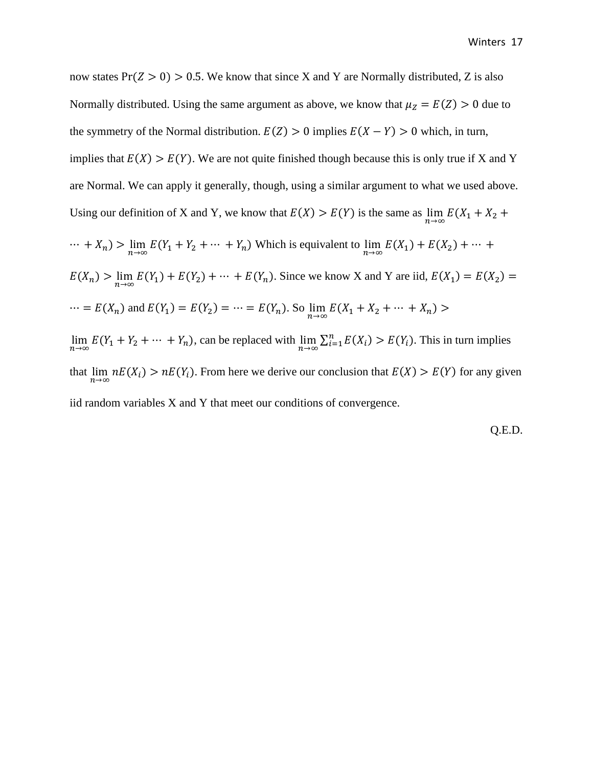now states  $Pr(Z > 0) > 0.5$ . We know that since X and Y are Normally distributed, Z is also Normally distributed. Using the same argument as above, we know that  $\mu_Z = E(Z) > 0$  due to the symmetry of the Normal distribution.  $E(Z) > 0$  implies  $E(X - Y) > 0$  which, in turn, implies that  $E(X) > E(Y)$ . We are not quite finished though because this is only true if X and Y are Normal. We can apply it generally, though, using a similar argument to what we used above. Using our definition of X and Y, we know that  $E(X) > E(Y)$  is the same as  $\lim_{n \to \infty} E(X_1 + X_2 +$  $\cdots$  +  $X_n$ ) >  $\lim_{n\to\infty} E(Y_1 + Y_2 + \cdots + Y_n)$  Which is equivalent to  $\lim_{n\to\infty} E(X_1) + E(X_2) + \cdots$  $E(X_n) > \lim_{n \to \infty} E(Y_1) + E(Y_2) + \dots + E(Y_n)$ . Since we know X and Y are iid,  $E(X_1) = E(X_2) =$  $\cdots$  =  $E(X_n)$  and  $E(Y_1) = E(Y_2) = \cdots = E(Y_n)$ . So  $\lim_{n \to \infty} E(X_1 + X_2 + \cdots + X_n)$  >  $\lim_{n \to \infty} E(Y_1 + Y_2 + \dots + Y_n)$ , can be replaced with  $\lim_{n \to \infty} \sum_{i=1}^n E(X_i) > E(Y_i)$ . This in turn implies that  $\lim_{n\to\infty} nE(X_i) > nE(Y_i)$ . From here we derive our conclusion that  $E(X) > E(Y)$  for any given iid random variables X and Y that meet our conditions of convergence.

Q.E.D.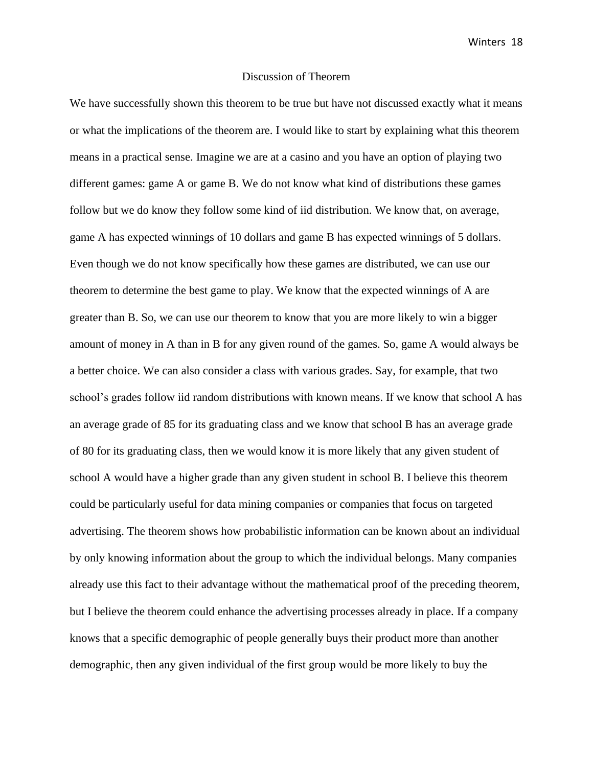#### Discussion of Theorem

We have successfully shown this theorem to be true but have not discussed exactly what it means or what the implications of the theorem are. I would like to start by explaining what this theorem means in a practical sense. Imagine we are at a casino and you have an option of playing two different games: game A or game B. We do not know what kind of distributions these games follow but we do know they follow some kind of iid distribution. We know that, on average, game A has expected winnings of 10 dollars and game B has expected winnings of 5 dollars. Even though we do not know specifically how these games are distributed, we can use our theorem to determine the best game to play. We know that the expected winnings of A are greater than B. So, we can use our theorem to know that you are more likely to win a bigger amount of money in A than in B for any given round of the games. So, game A would always be a better choice. We can also consider a class with various grades. Say, for example, that two school's grades follow iid random distributions with known means. If we know that school A has an average grade of 85 for its graduating class and we know that school B has an average grade of 80 for its graduating class, then we would know it is more likely that any given student of school A would have a higher grade than any given student in school B. I believe this theorem could be particularly useful for data mining companies or companies that focus on targeted advertising. The theorem shows how probabilistic information can be known about an individual by only knowing information about the group to which the individual belongs. Many companies already use this fact to their advantage without the mathematical proof of the preceding theorem, but I believe the theorem could enhance the advertising processes already in place. If a company knows that a specific demographic of people generally buys their product more than another demographic, then any given individual of the first group would be more likely to buy the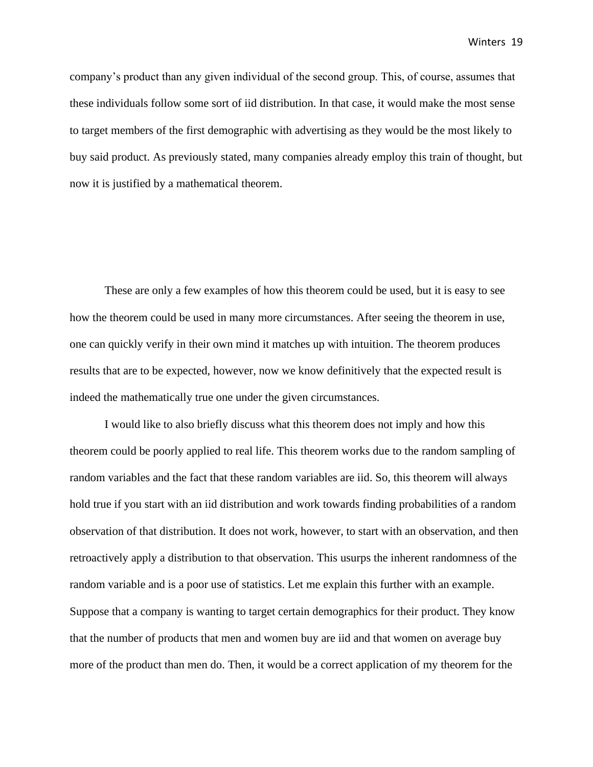company's product than any given individual of the second group. This, of course, assumes that these individuals follow some sort of iid distribution. In that case, it would make the most sense to target members of the first demographic with advertising as they would be the most likely to buy said product. As previously stated, many companies already employ this train of thought, but now it is justified by a mathematical theorem.

These are only a few examples of how this theorem could be used, but it is easy to see how the theorem could be used in many more circumstances. After seeing the theorem in use, one can quickly verify in their own mind it matches up with intuition. The theorem produces results that are to be expected, however, now we know definitively that the expected result is indeed the mathematically true one under the given circumstances.

I would like to also briefly discuss what this theorem does not imply and how this theorem could be poorly applied to real life. This theorem works due to the random sampling of random variables and the fact that these random variables are iid. So, this theorem will always hold true if you start with an iid distribution and work towards finding probabilities of a random observation of that distribution. It does not work, however, to start with an observation, and then retroactively apply a distribution to that observation. This usurps the inherent randomness of the random variable and is a poor use of statistics. Let me explain this further with an example. Suppose that a company is wanting to target certain demographics for their product. They know that the number of products that men and women buy are iid and that women on average buy more of the product than men do. Then, it would be a correct application of my theorem for the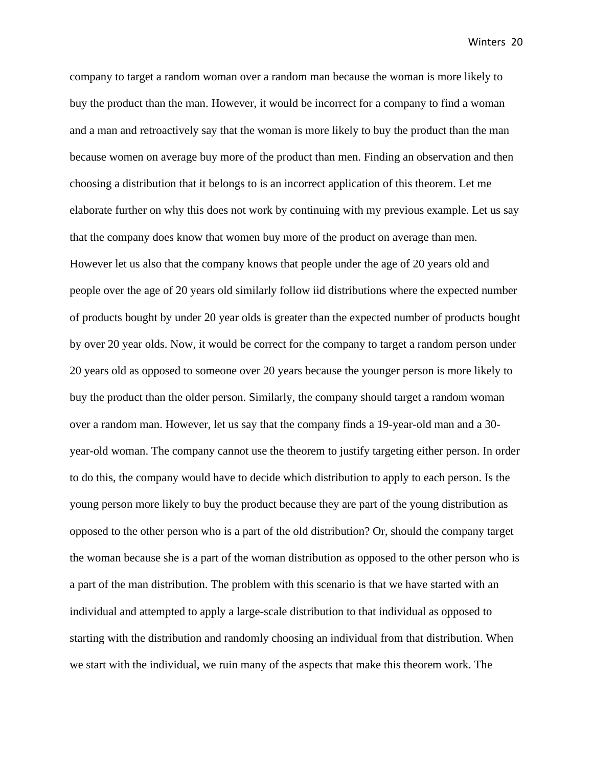company to target a random woman over a random man because the woman is more likely to buy the product than the man. However, it would be incorrect for a company to find a woman and a man and retroactively say that the woman is more likely to buy the product than the man because women on average buy more of the product than men. Finding an observation and then choosing a distribution that it belongs to is an incorrect application of this theorem. Let me elaborate further on why this does not work by continuing with my previous example. Let us say that the company does know that women buy more of the product on average than men. However let us also that the company knows that people under the age of 20 years old and people over the age of 20 years old similarly follow iid distributions where the expected number of products bought by under 20 year olds is greater than the expected number of products bought by over 20 year olds. Now, it would be correct for the company to target a random person under 20 years old as opposed to someone over 20 years because the younger person is more likely to buy the product than the older person. Similarly, the company should target a random woman over a random man. However, let us say that the company finds a 19-year-old man and a 30 year-old woman. The company cannot use the theorem to justify targeting either person. In order to do this, the company would have to decide which distribution to apply to each person. Is the young person more likely to buy the product because they are part of the young distribution as opposed to the other person who is a part of the old distribution? Or, should the company target the woman because she is a part of the woman distribution as opposed to the other person who is a part of the man distribution. The problem with this scenario is that we have started with an individual and attempted to apply a large-scale distribution to that individual as opposed to starting with the distribution and randomly choosing an individual from that distribution. When we start with the individual, we ruin many of the aspects that make this theorem work. The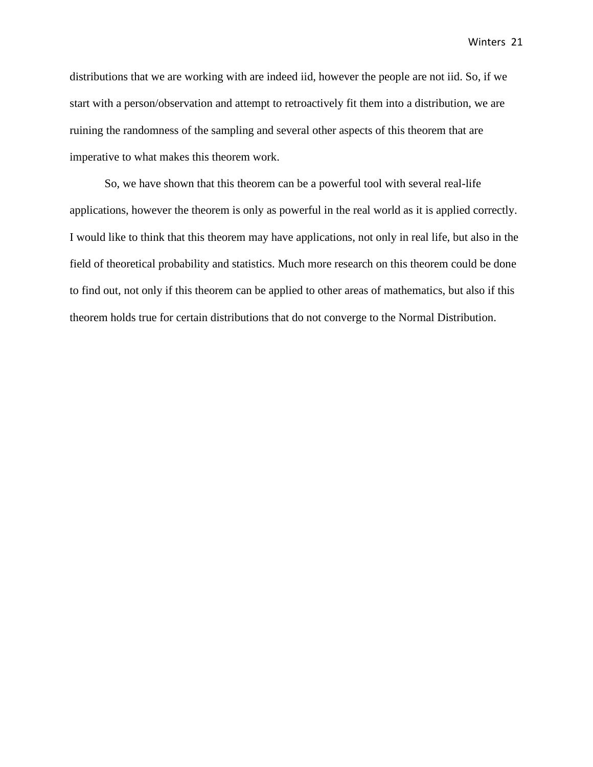distributions that we are working with are indeed iid, however the people are not iid. So, if we start with a person/observation and attempt to retroactively fit them into a distribution, we are ruining the randomness of the sampling and several other aspects of this theorem that are imperative to what makes this theorem work.

So, we have shown that this theorem can be a powerful tool with several real-life applications, however the theorem is only as powerful in the real world as it is applied correctly. I would like to think that this theorem may have applications, not only in real life, but also in the field of theoretical probability and statistics. Much more research on this theorem could be done to find out, not only if this theorem can be applied to other areas of mathematics, but also if this theorem holds true for certain distributions that do not converge to the Normal Distribution.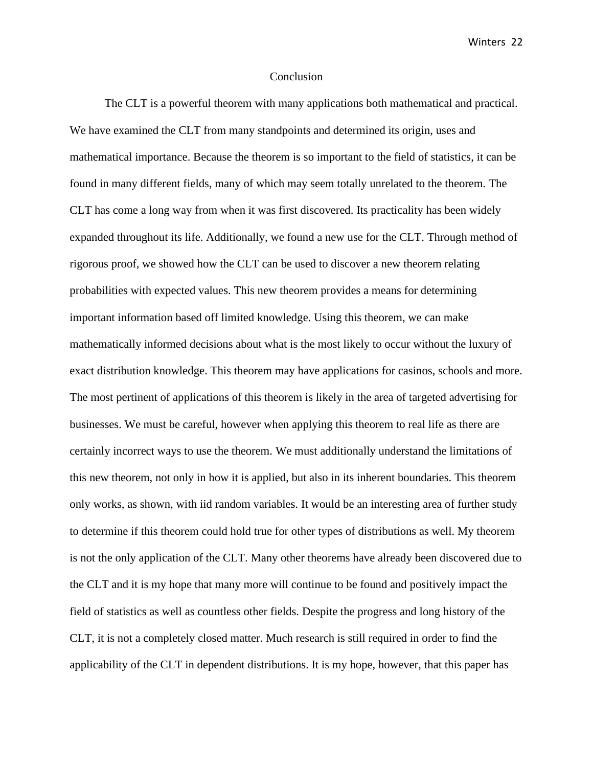#### Conclusion

The CLT is a powerful theorem with many applications both mathematical and practical. We have examined the CLT from many standpoints and determined its origin, uses and mathematical importance. Because the theorem is so important to the field of statistics, it can be found in many different fields, many of which may seem totally unrelated to the theorem. The CLT has come a long way from when it was first discovered. Its practicality has been widely expanded throughout its life. Additionally, we found a new use for the CLT. Through method of rigorous proof, we showed how the CLT can be used to discover a new theorem relating probabilities with expected values. This new theorem provides a means for determining important information based off limited knowledge. Using this theorem, we can make mathematically informed decisions about what is the most likely to occur without the luxury of exact distribution knowledge. This theorem may have applications for casinos, schools and more. The most pertinent of applications of this theorem is likely in the area of targeted advertising for businesses. We must be careful, however when applying this theorem to real life as there are certainly incorrect ways to use the theorem. We must additionally understand the limitations of this new theorem, not only in how it is applied, but also in its inherent boundaries. This theorem only works, as shown, with iid random variables. It would be an interesting area of further study to determine if this theorem could hold true for other types of distributions as well. My theorem is not the only application of the CLT. Many other theorems have already been discovered due to the CLT and it is my hope that many more will continue to be found and positively impact the field of statistics as well as countless other fields. Despite the progress and long history of the CLT, it is not a completely closed matter. Much research is still required in order to find the applicability of the CLT in dependent distributions. It is my hope, however, that this paper has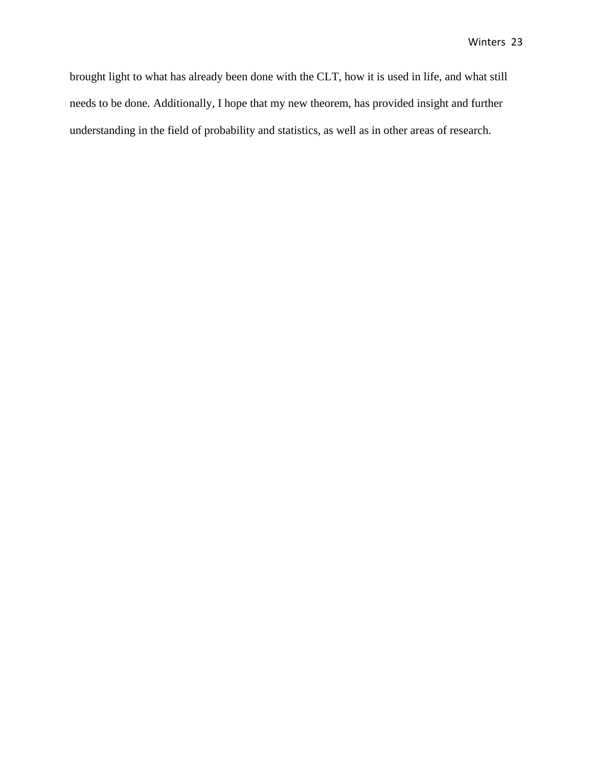brought light to what has already been done with the CLT, how it is used in life, and what still needs to be done. Additionally, I hope that my new theorem, has provided insight and further understanding in the field of probability and statistics, as well as in other areas of research.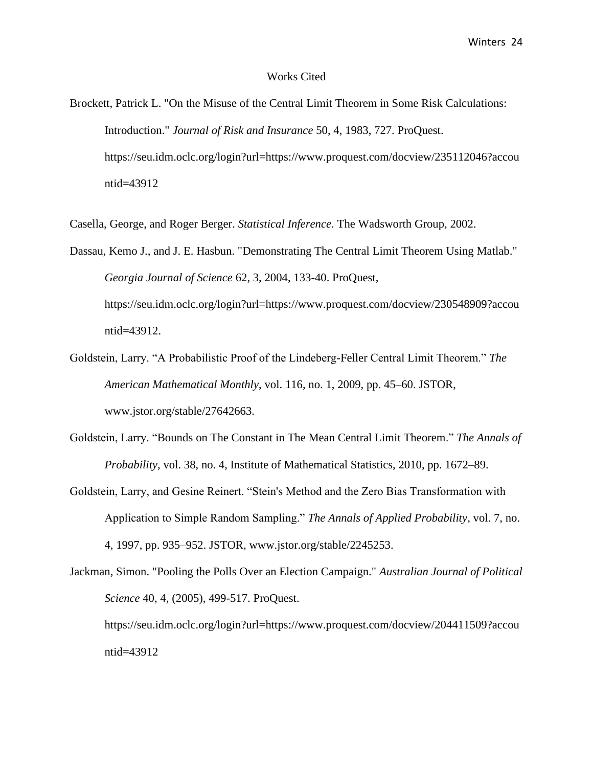#### Works Cited

Brockett, Patrick L. "On the Misuse of the Central Limit Theorem in Some Risk Calculations: Introduction." *Journal of Risk and Insurance* 50, 4, 1983, 727. ProQuest. https://seu.idm.oclc.org/login?url=https://www.proquest.com/docview/235112046?accou ntid=43912

Casella, George, and Roger Berger. *Statistical Inference*. The Wadsworth Group, 2002.

Dassau, Kemo J., and J. E. Hasbun. "Demonstrating The Central Limit Theorem Using Matlab." *Georgia Journal of Science* 62, 3, 2004, 133-40. ProQuest, https://seu.idm.oclc.org/login?url=https://www.proquest.com/docview/230548909?accou ntid=43912.

- Goldstein, Larry. "A Probabilistic Proof of the Lindeberg-Feller Central Limit Theorem." *The American Mathematical Monthly*, vol. 116, no. 1, 2009, pp. 45–60. JSTOR, www.jstor.org/stable/27642663.
- Goldstein, Larry. "Bounds on The Constant in The Mean Central Limit Theorem." *The Annals of Probability*, vol. 38, no. 4, Institute of Mathematical Statistics, 2010, pp. 1672–89.
- Goldstein, Larry, and Gesine Reinert. "Stein's Method and the Zero Bias Transformation with Application to Simple Random Sampling." *The Annals of Applied Probability*, vol. 7, no. 4, 1997, pp. 935–952. JSTOR, www.jstor.org/stable/2245253.
- Jackman, Simon. "Pooling the Polls Over an Election Campaign." *Australian Journal of Political Science* 40, 4, (2005), 499-517. ProQuest. https://seu.idm.oclc.org/login?url=https://www.proquest.com/docview/204411509?accou ntid=43912